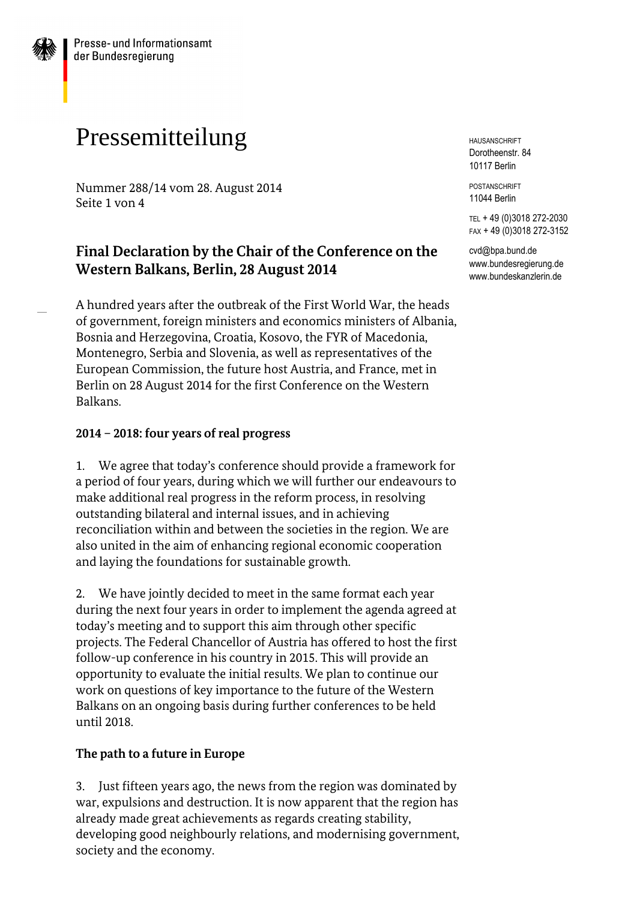# Pressemitteilung

Nummer 288/14 vom 28. August 2014 Seite 1 von 4

# **Final Declaration by the Chair of the Conference on the Western Balkans, Berlin, 28 August 2014**

A hundred years after the outbreak of the First World War, the heads of government, foreign ministers and economics ministers of Albania, Bosnia and Herzegovina, Croatia, Kosovo, the FYR of Macedonia, Montenegro, Serbia and Slovenia, as well as representatives of the European Commission, the future host Austria, and France, met in Berlin on 28 August 2014 for the first Conference on the Western Balkans.

#### **2014 – 2018: four years of real progress**

1. We agree that today's conference should provide a framework for a period of four years, during which we will further our endeavours to make additional real progress in the reform process, in resolving outstanding bilateral and internal issues, and in achieving reconciliation within and between the societies in the region. We are also united in the aim of enhancing regional economic cooperation and laying the foundations for sustainable growth.

2. We have jointly decided to meet in the same format each year during the next four years in order to implement the agenda agreed at today's meeting and to support this aim through other specific projects. The Federal Chancellor of Austria has offered to host the first follow-up conference in his country in 2015. This will provide an opportunity to evaluate the initial results. We plan to continue our work on questions of key importance to the future of the Western Balkans on an ongoing basis during further conferences to be held until 2018.

#### **The path to a future in Europe**

3. Just fifteen years ago, the news from the region was dominated by war, expulsions and destruction. It is now apparent that the region has already made great achievements as regards creating stability, developing good neighbourly relations, and modernising government, society and the economy.

HAUSANSCHRIFT Dorotheenstr. 84 10117 Berlin

POSTANSCHRIFT 11044 Berlin

TEL + 49 (0)3018 272-2030 FAX + 49 (0)3018 272-3152

cvd@bpa.bund.de www.bundesregierung.de www.bundeskanzlerin.de

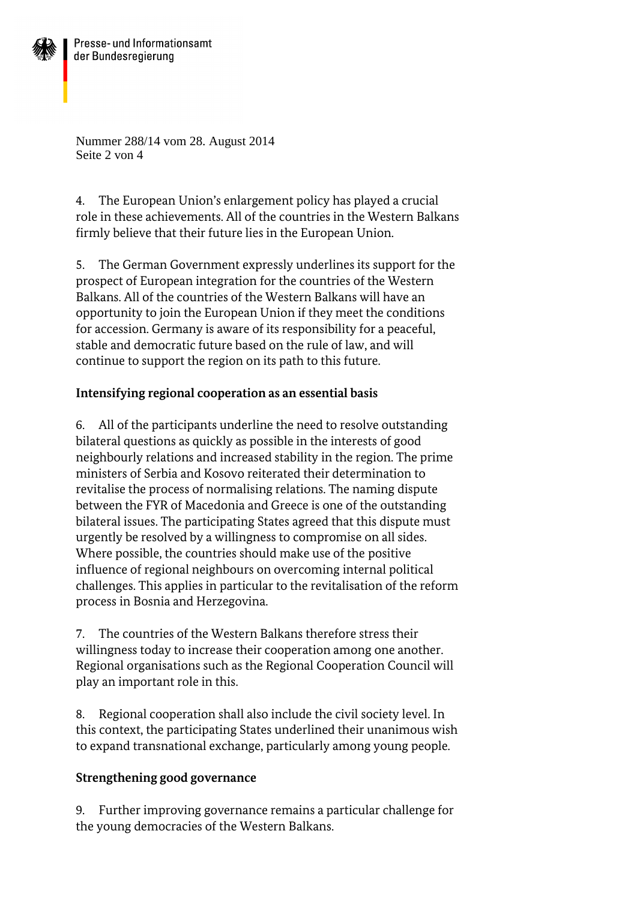

Nummer 288/14 vom 28. August 2014 Seite 2 von 4

4. The European Union's enlargement policy has played a crucial role in these achievements. All of the countries in the Western Balkans firmly believe that their future lies in the European Union.

5. The German Government expressly underlines its support for the prospect of European integration for the countries of the Western Balkans. All of the countries of the Western Balkans will have an opportunity to join the European Union if they meet the conditions for accession. Germany is aware of its responsibility for a peaceful, stable and democratic future based on the rule of law, and will continue to support the region on its path to this future.

## **Intensifying regional cooperation as an essential basis**

6. All of the participants underline the need to resolve outstanding bilateral questions as quickly as possible in the interests of good neighbourly relations and increased stability in the region. The prime ministers of Serbia and Kosovo reiterated their determination to revitalise the process of normalising relations. The naming dispute between the FYR of Macedonia and Greece is one of the outstanding bilateral issues. The participating States agreed that this dispute must urgently be resolved by a willingness to compromise on all sides. Where possible, the countries should make use of the positive influence of regional neighbours on overcoming internal political challenges. This applies in particular to the revitalisation of the reform process in Bosnia and Herzegovina.

7. The countries of the Western Balkans therefore stress their willingness today to increase their cooperation among one another. Regional organisations such as the Regional Cooperation Council will play an important role in this.

8. Regional cooperation shall also include the civil society level. In this context, the participating States underlined their unanimous wish to expand transnational exchange, particularly among young people.

## **Strengthening good governance**

9. Further improving governance remains a particular challenge for the young democracies of the Western Balkans.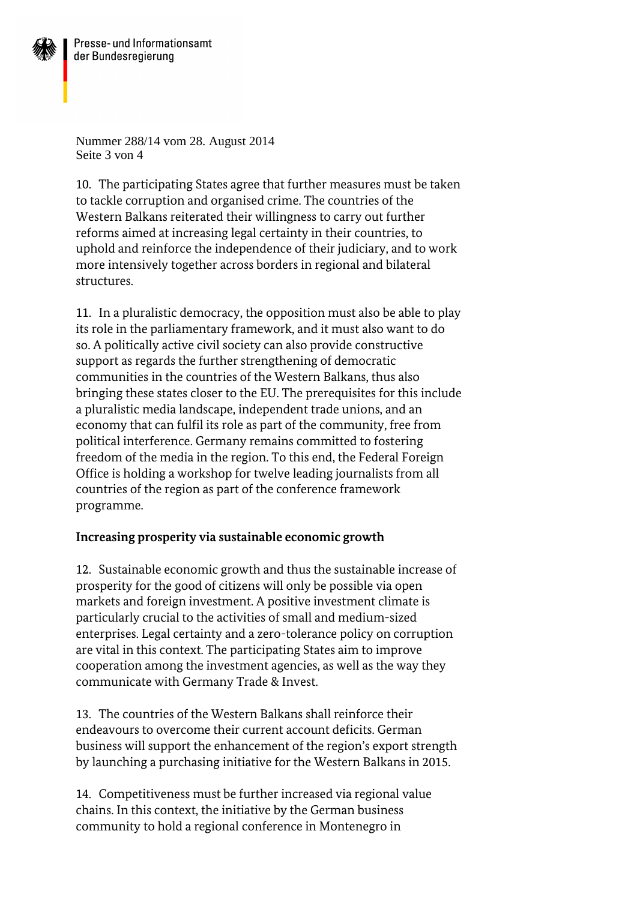

Nummer 288/14 vom 28. August 2014 Seite 3 von 4

10. The participating States agree that further measures must be taken to tackle corruption and organised crime. The countries of the Western Balkans reiterated their willingness to carry out further reforms aimed at increasing legal certainty in their countries, to uphold and reinforce the independence of their judiciary, and to work more intensively together across borders in regional and bilateral structures.

11. In a pluralistic democracy, the opposition must also be able to play its role in the parliamentary framework, and it must also want to do so. A politically active civil society can also provide constructive support as regards the further strengthening of democratic communities in the countries of the Western Balkans, thus also bringing these states closer to the EU. The prerequisites for this include a pluralistic media landscape, independent trade unions, and an economy that can fulfil its role as part of the community, free from political interference. Germany remains committed to fostering freedom of the media in the region. To this end, the Federal Foreign Office is holding a workshop for twelve leading journalists from all countries of the region as part of the conference framework programme.

#### **Increasing prosperity via sustainable economic growth**

12. Sustainable economic growth and thus the sustainable increase of prosperity for the good of citizens will only be possible via open markets and foreign investment. A positive investment climate is particularly crucial to the activities of small and medium-sized enterprises. Legal certainty and a zero-tolerance policy on corruption are vital in this context. The participating States aim to improve cooperation among the investment agencies, as well as the way they communicate with Germany Trade & Invest.

13. The countries of the Western Balkans shall reinforce their endeavours to overcome their current account deficits. German business will support the enhancement of the region's export strength by launching a purchasing initiative for the Western Balkans in 2015.

14. Competitiveness must be further increased via regional value chains. In this context, the initiative by the German business community to hold a regional conference in Montenegro in